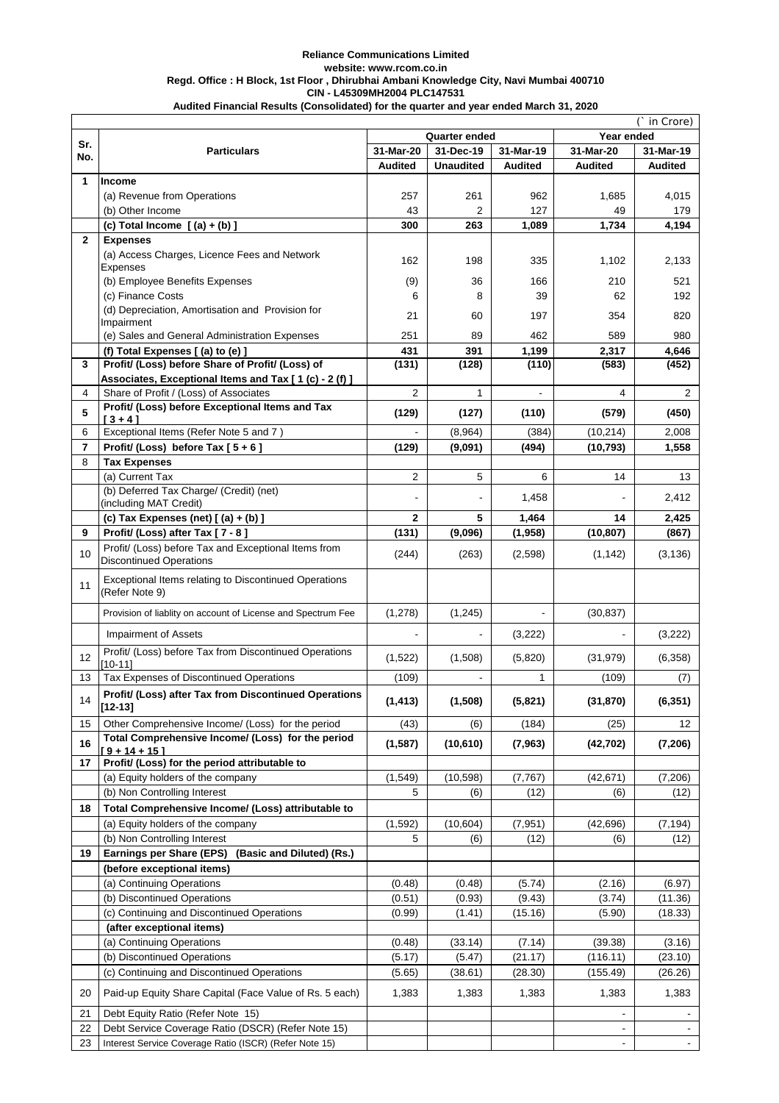#### **Reliance Communications Limited website: www.rcom.co.in Regd. Office : H Block, 1st Floor , Dhirubhai Ambani Knowledge City, Navi Mumbai 400710 CIN - L45309MH2004 PLC147531**

|                | (` in Crore)                                                                              |                |                      |                |                |                |
|----------------|-------------------------------------------------------------------------------------------|----------------|----------------------|----------------|----------------|----------------|
| Sr.            |                                                                                           |                | <b>Quarter ended</b> |                | Year ended     |                |
| No.            | <b>Particulars</b>                                                                        | 31-Mar-20      | 31-Dec-19            | 31-Mar-19      | 31-Mar-20      | 31-Mar-19      |
|                |                                                                                           | <b>Audited</b> | <b>Unaudited</b>     | <b>Audited</b> | <b>Audited</b> | <b>Audited</b> |
| 1              | <b>Income</b>                                                                             |                |                      |                |                |                |
|                | (a) Revenue from Operations                                                               | 257            | 261                  | 962            | 1,685          | 4,015          |
|                | (b) Other Income                                                                          | 43             | $\overline{2}$       | 127            | 49             | 179            |
|                | (c) Total Income $[(a) + (b)]$                                                            | 300            | 263                  | 1,089          | 1,734          | 4,194          |
| $\mathbf{2}$   | <b>Expenses</b>                                                                           |                |                      |                |                |                |
|                | (a) Access Charges, Licence Fees and Network<br>Expenses                                  | 162            | 198                  | 335            | 1,102          | 2,133          |
|                | (b) Employee Benefits Expenses                                                            | (9)            | 36                   | 166            | 210            | 521            |
|                | (c) Finance Costs                                                                         | 6              | 8                    | 39             | 62             | 192            |
|                | (d) Depreciation, Amortisation and Provision for                                          |                |                      |                |                |                |
|                | Impairment                                                                                | 21             | 60                   | 197            | 354            | 820            |
|                | (e) Sales and General Administration Expenses                                             | 251            | 89                   | 462            | 589            | 980            |
|                | (f) Total Expenses [(a) to (e) ]                                                          | 431            | 391                  | 1,199          | 2,317          | 4,646          |
| 3              | Profit/ (Loss) before Share of Profit/ (Loss) of                                          | (131)          | (128)                | (110)          | (583)          | (452)          |
|                | Associates, Exceptional Items and Tax [1 (c) - 2 (f) ]                                    |                |                      |                |                |                |
| 4              | Share of Profit / (Loss) of Associates<br>Profit/ (Loss) before Exceptional Items and Tax | $\overline{2}$ | $\mathbf{1}$         |                | 4              | 2              |
| 5              | $13 + 41$                                                                                 | (129)          | (127)                | (110)          | (579)          | (450)          |
| 6              | Exceptional Items (Refer Note 5 and 7)                                                    |                | (8,964)              | (384)          | (10, 214)      | 2,008          |
| $\overline{7}$ | Profit/ (Loss) before Tax $[5+6]$                                                         | (129)          | (9,091)              | (494)          | (10, 793)      | 1,558          |
| 8              | <b>Tax Expenses</b>                                                                       |                |                      |                |                |                |
|                | (a) Current Tax                                                                           | 2              | 5                    | 6              | 14             | 13             |
|                | (b) Deferred Tax Charge/ (Credit) (net)                                                   |                |                      | 1,458          |                | 2,412          |
|                | (including MAT Credit)                                                                    |                |                      |                |                |                |
|                | (c) Tax Expenses (net) $[(a) + (b)]$                                                      | $\mathbf 2$    | 5                    | 1,464          | 14             | 2,425          |
| 9              | Profit/ (Loss) after Tax [7 - 8]                                                          | (131)          | (9,096)              | (1,958)        | (10, 807)      | (867)          |
| 10             | Profit/ (Loss) before Tax and Exceptional Items from<br><b>Discontinued Operations</b>    | (244)          | (263)                | (2,598)        | (1, 142)       | (3, 136)       |
| 11             | Exceptional Items relating to Discontinued Operations<br>(Refer Note 9)                   |                |                      |                |                |                |
|                | Provision of liablity on account of License and Spectrum Fee                              | (1, 278)       | (1,245)              |                | (30, 837)      |                |
|                | <b>Impairment of Assets</b>                                                               |                | $\overline{a}$       | (3,222)        |                | (3,222)        |
| 12             | Profit/ (Loss) before Tax from Discontinued Operations<br>$[10-11]$                       | (1,522)        | (1,508)              | (5,820)        | (31, 979)      | (6,358)        |
| 13             | Tax Expenses of Discontinued Operations                                                   | (109)          |                      | 1              | (109)          | (7)            |
| 14             | Profit/ (Loss) after Tax from Discontinued Operations<br>$[12 - 13]$                      | (1, 413)       | (1, 508)             | (5,821)        | (31, 870)      | (6, 351)       |
| 15             | Other Comprehensive Income/ (Loss) for the period                                         | (43)           | (6)                  | (184)          | (25)           | 12             |
| 16             | Total Comprehensive Income/ (Loss) for the period                                         | (1, 587)       | (10, 610)            | (7, 963)       | (42, 702)      | (7, 206)       |
|                | $19 + 14 + 15$                                                                            |                |                      |                |                |                |
| 17             | Profit/ (Loss) for the period attributable to                                             |                |                      |                |                |                |
|                | (a) Equity holders of the company                                                         | (1, 549)       | (10, 598)            | (7, 767)       | (42, 671)      | (7,206)        |
|                | (b) Non Controlling Interest                                                              | 5              | (6)                  | (12)           | (6)            | (12)           |
| 18             | Total Comprehensive Income/ (Loss) attributable to                                        |                |                      |                |                |                |
|                | (a) Equity holders of the company                                                         | (1, 592)       | (10, 604)            | (7, 951)       | (42, 696)      | (7, 194)       |
|                | (b) Non Controlling Interest                                                              | 5              | (6)                  | (12)           | (6)            | (12)           |
| 19             | Earnings per Share (EPS)<br>(Basic and Diluted) (Rs.)<br>(before exceptional items)       |                |                      |                |                |                |
|                | (a) Continuing Operations                                                                 | (0.48)         | (0.48)               | (5.74)         | (2.16)         | (6.97)         |
|                | (b) Discontinued Operations                                                               | (0.51)         | (0.93)               | (9.43)         | (3.74)         | (11.36)        |
|                | (c) Continuing and Discontinued Operations                                                | (0.99)         | (1.41)               | (15.16)        | (5.90)         | (18.33)        |
|                | (after exceptional items)                                                                 |                |                      |                |                |                |
|                | (a) Continuing Operations                                                                 | (0.48)         | (33.14)              | (7.14)         | (39.38)        | (3.16)         |
|                | (b) Discontinued Operations                                                               | (5.17)         | (5.47)               | (21.17)        | (116.11)       | (23.10)        |
|                | (c) Continuing and Discontinued Operations                                                | (5.65)         | (38.61)              | (28.30)        | (155.49)       | (26.26)        |
| 20             | Paid-up Equity Share Capital (Face Value of Rs. 5 each)                                   | 1,383          | 1,383                | 1,383          | 1,383          | 1,383          |
| 21             | Debt Equity Ratio (Refer Note 15)                                                         |                |                      |                |                |                |
| 22             | Debt Service Coverage Ratio (DSCR) (Refer Note 15)                                        |                |                      |                |                |                |
| 23             | Interest Service Coverage Ratio (ISCR) (Refer Note 15)                                    |                |                      |                |                |                |

**Audited Financial Results (Consolidated) for the quarter and year ended March 31, 2020**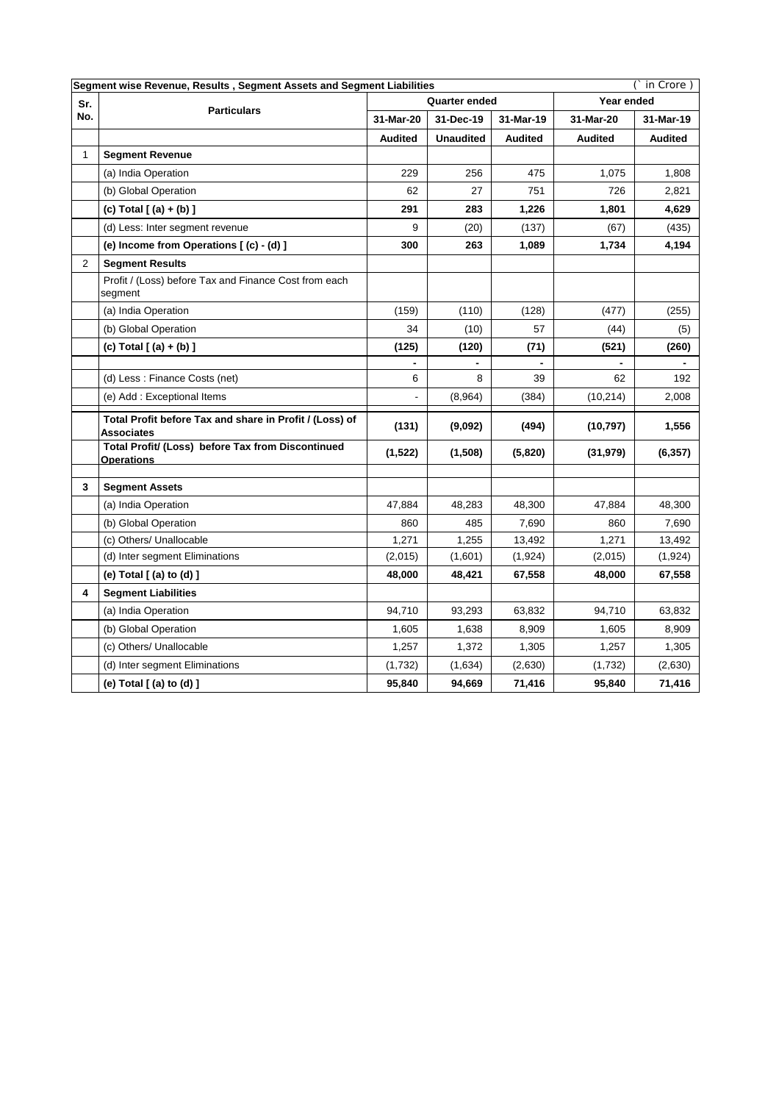| Segment wise Revenue, Results, Segment Assets and Segment Liabilities |                                                                        |                |                  |                | in Crore)      |                |  |
|-----------------------------------------------------------------------|------------------------------------------------------------------------|----------------|------------------|----------------|----------------|----------------|--|
| Sr.                                                                   | <b>Particulars</b>                                                     |                | Quarter ended    |                | Year ended     |                |  |
| No.                                                                   |                                                                        | 31-Mar-20      | 31-Dec-19        | 31-Mar-19      | 31-Mar-20      | 31-Mar-19      |  |
|                                                                       |                                                                        | <b>Audited</b> | <b>Unaudited</b> | <b>Audited</b> | <b>Audited</b> | <b>Audited</b> |  |
| $\mathbf{1}$                                                          | <b>Segment Revenue</b>                                                 |                |                  |                |                |                |  |
|                                                                       | (a) India Operation                                                    | 229            | 256              | 475            | 1,075          | 1,808          |  |
|                                                                       | (b) Global Operation                                                   | 62             | 27               | 751            | 726            | 2,821          |  |
|                                                                       | (c) Total $($ (a) + (b) ]                                              | 291            | 283              | 1,226          | 1,801          | 4,629          |  |
|                                                                       | (d) Less: Inter segment revenue                                        | 9              | (20)             | (137)          | (67)           | (435)          |  |
|                                                                       | (e) Income from Operations [(c) - (d) ]                                | 300            | 263              | 1,089          | 1,734          | 4,194          |  |
| $\overline{2}$                                                        | <b>Segment Results</b>                                                 |                |                  |                |                |                |  |
|                                                                       | Profit / (Loss) before Tax and Finance Cost from each<br>segment       |                |                  |                |                |                |  |
|                                                                       | (a) India Operation                                                    | (159)          | (110)            | (128)          | (477)          | (255)          |  |
|                                                                       | (b) Global Operation                                                   | 34             | (10)             | 57             | (44)           | (5)            |  |
|                                                                       | (c) Total [(a) + (b) ]                                                 | (125)          | (120)            | (71)           | (521)          | (260)          |  |
|                                                                       |                                                                        |                |                  |                |                |                |  |
|                                                                       | (d) Less: Finance Costs (net)                                          | 6              | 8                | 39             | 62             | 192            |  |
|                                                                       | (e) Add: Exceptional Items                                             |                | (8,964)          | (384)          | (10, 214)      | 2,008          |  |
|                                                                       | Total Profit before Tax and share in Profit / (Loss) of<br>Associates  | (131)          | (9,092)          | (494)          | (10, 797)      | 1,556          |  |
|                                                                       | Total Profit/ (Loss) before Tax from Discontinued<br><b>Operations</b> | (1,522)        | (1,508)          | (5,820)        | (31, 979)      | (6, 357)       |  |
|                                                                       |                                                                        |                |                  |                |                |                |  |
| 3                                                                     | <b>Segment Assets</b>                                                  |                |                  |                |                |                |  |
|                                                                       | (a) India Operation                                                    | 47,884         | 48,283           | 48,300         | 47,884         | 48,300         |  |
|                                                                       | (b) Global Operation                                                   | 860            | 485              | 7,690          | 860            | 7,690          |  |
|                                                                       | (c) Others/ Unallocable                                                | 1,271          | 1,255            | 13,492         | 1,271          | 13,492         |  |
|                                                                       | (d) Inter segment Eliminations                                         | (2,015)        | (1,601)          | (1,924)        | (2,015)        | (1, 924)       |  |
|                                                                       | (e) Total [ (a) to (d) ]                                               | 48,000         | 48,421           | 67,558         | 48,000         | 67,558         |  |
| 4                                                                     | <b>Segment Liabilities</b>                                             |                |                  |                |                |                |  |
|                                                                       | (a) India Operation                                                    | 94,710         | 93,293           | 63,832         | 94,710         | 63,832         |  |
|                                                                       | (b) Global Operation                                                   | 1,605          | 1,638            | 8,909          | 1,605          | 8,909          |  |
|                                                                       | (c) Others/ Unallocable                                                | 1,257          | 1,372            | 1,305          | 1,257          | 1,305          |  |
|                                                                       | (d) Inter segment Eliminations                                         | (1,732)        | (1,634)          | (2,630)        | (1,732)        | (2,630)        |  |
|                                                                       | (e) Total [ (a) to (d) ]                                               | 95,840         | 94,669           | 71,416         | 95,840         | 71,416         |  |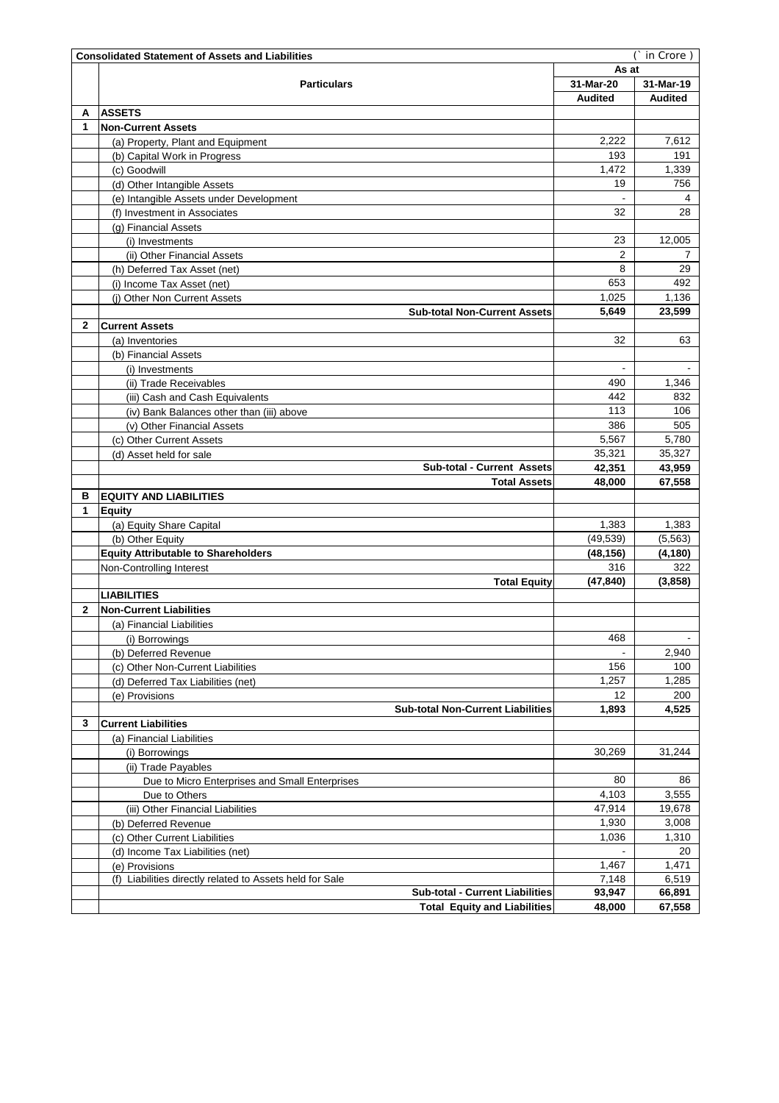|        | (` in Crore)<br><b>Consolidated Statement of Assets and Liabilities</b> |                |                |  |  |  |
|--------|-------------------------------------------------------------------------|----------------|----------------|--|--|--|
|        |                                                                         | As at          |                |  |  |  |
|        | <b>Particulars</b>                                                      | 31-Mar-20      | 31-Mar-19      |  |  |  |
|        |                                                                         | <b>Audited</b> | <b>Audited</b> |  |  |  |
| А      | <b>ASSETS</b>                                                           |                |                |  |  |  |
| 1      | <b>Non-Current Assets</b>                                               |                |                |  |  |  |
|        | (a) Property, Plant and Equipment                                       | 2,222          | 7,612          |  |  |  |
|        | (b) Capital Work in Progress                                            | 193            | 191            |  |  |  |
|        | (c) Goodwill                                                            | 1,472          | 1,339          |  |  |  |
|        | (d) Other Intangible Assets                                             | 19             | 756            |  |  |  |
|        | (e) Intangible Assets under Development                                 |                | 4              |  |  |  |
|        | (f) Investment in Associates                                            | 32             | 28             |  |  |  |
|        | (g) Financial Assets                                                    |                |                |  |  |  |
|        | (i) Investments                                                         | 23             | 12,005         |  |  |  |
|        | (ii) Other Financial Assets                                             | 2              | 7              |  |  |  |
|        | (h) Deferred Tax Asset (net)                                            | 8              | 29             |  |  |  |
|        | (i) Income Tax Asset (net)                                              | 653            | 492            |  |  |  |
|        | (i) Other Non Current Assets                                            | 1,025          | 1,136          |  |  |  |
|        | <b>Sub-total Non-Current Assets</b>                                     | 5,649          | 23,599         |  |  |  |
| 2      | <b>Current Assets</b>                                                   |                |                |  |  |  |
|        | (a) Inventories                                                         | 32             | 63             |  |  |  |
|        | (b) Financial Assets                                                    |                |                |  |  |  |
|        | (i) Investments                                                         |                |                |  |  |  |
|        | (ii) Trade Receivables                                                  | 490            | 1,346          |  |  |  |
|        | (iii) Cash and Cash Equivalents                                         | 442            | 832            |  |  |  |
|        | (iv) Bank Balances other than (iii) above                               | 113            | 106            |  |  |  |
|        | (v) Other Financial Assets                                              | 386            | 505            |  |  |  |
|        | (c) Other Current Assets                                                | 5,567          | 5,780          |  |  |  |
|        | (d) Asset held for sale                                                 | 35,321         | 35,327         |  |  |  |
|        | <b>Sub-total - Current Assets</b>                                       | 42,351         | 43,959         |  |  |  |
|        | <b>Total Assets</b>                                                     | 48,000         | 67,558         |  |  |  |
| в<br>1 | <b>EQUITY AND LIABILITIES</b>                                           |                |                |  |  |  |
|        | <b>Equity</b>                                                           | 1,383          | 1,383          |  |  |  |
|        | (a) Equity Share Capital                                                | (49, 539)      | (5, 563)       |  |  |  |
|        | (b) Other Equity<br><b>Equity Attributable to Shareholders</b>          | (48,156)       | (4, 180)       |  |  |  |
|        | Non-Controlling Interest                                                | 316            | 322            |  |  |  |
|        |                                                                         | (47, 840)      | (3,858)        |  |  |  |
|        | <b>Total Equity</b><br><b>LIABILITIES</b>                               |                |                |  |  |  |
| 2      | <b>Non-Current Liabilities</b>                                          |                |                |  |  |  |
|        | (a) Financial Liabilities                                               |                |                |  |  |  |
|        |                                                                         | 468            |                |  |  |  |
|        | (i) Borrowings<br>(b) Deferred Revenue                                  |                | 2,940          |  |  |  |
|        | (c) Other Non-Current Liabilities                                       | 156            | 100            |  |  |  |
|        | (d) Deferred Tax Liabilities (net)                                      | 1,257          | 1,285          |  |  |  |
|        | (e) Provisions                                                          | 12             | 200            |  |  |  |
|        | <b>Sub-total Non-Current Liabilities</b>                                | 1,893          | 4,525          |  |  |  |
| 3      | <b>Current Liabilities</b>                                              |                |                |  |  |  |
|        | (a) Financial Liabilities                                               |                |                |  |  |  |
|        | (i) Borrowings                                                          | 30.269         | 31,244         |  |  |  |
|        | (ii) Trade Payables                                                     |                |                |  |  |  |
|        | Due to Micro Enterprises and Small Enterprises                          | 80             | 86             |  |  |  |
|        | Due to Others                                                           | 4,103          | 3,555          |  |  |  |
|        | (iii) Other Financial Liabilities                                       | 47,914         | 19,678         |  |  |  |
|        | (b) Deferred Revenue                                                    | 1,930          | 3,008          |  |  |  |
|        | (c) Other Current Liabilities                                           | 1,036          | 1,310          |  |  |  |
|        | (d) Income Tax Liabilities (net)                                        |                | 20             |  |  |  |
|        | (e) Provisions                                                          | 1,467          | 1,471          |  |  |  |
|        | (f) Liabilities directly related to Assets held for Sale                | 7,148          | 6,519          |  |  |  |
|        | <b>Sub-total - Current Liabilities</b>                                  | 93,947         | 66,891         |  |  |  |
|        | <b>Total Equity and Liabilities</b>                                     | 48,000         | 67,558         |  |  |  |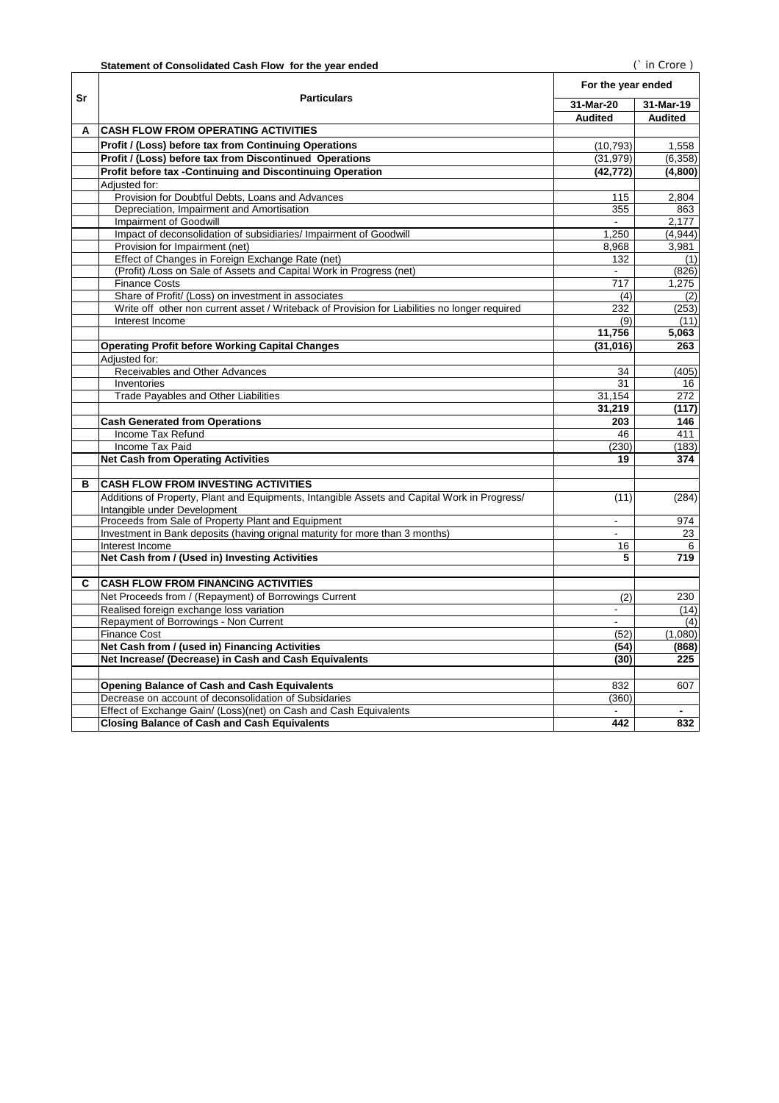|    |                                                                                               | For the year ended       |                |
|----|-----------------------------------------------------------------------------------------------|--------------------------|----------------|
| Sr | <b>Particulars</b>                                                                            | 31-Mar-20                | 31-Mar-19      |
|    |                                                                                               | <b>Audited</b>           | <b>Audited</b> |
| A  | <b>CASH FLOW FROM OPERATING ACTIVITIES</b>                                                    |                          |                |
|    |                                                                                               |                          |                |
|    | <b>Profit / (Loss) before tax from Continuing Operations</b>                                  | (10, 793)                | 1,558          |
|    | Profit / (Loss) before tax from Discontinued Operations                                       | (31, 979)                | (6, 358)       |
|    | Profit before tax -Continuing and Discontinuing Operation                                     | (42, 772)                | (4,800)        |
|    | Adjusted for:                                                                                 |                          |                |
|    | Provision for Doubtful Debts, Loans and Advances                                              | 115                      | 2,804          |
|    | Depreciation, Impairment and Amortisation<br><b>Impairment of Goodwill</b>                    | 355<br>$\blacksquare$    | 863<br>2,177   |
|    | Impact of deconsolidation of subsidiaries/ Impairment of Goodwill                             | 1.250                    | (4,944)        |
|    | Provision for Impairment (net)                                                                | 8,968                    | 3,981          |
|    | Effect of Changes in Foreign Exchange Rate (net)                                              | 132                      | (1)            |
|    | (Profit) /Loss on Sale of Assets and Capital Work in Progress (net)                           |                          | (826)          |
|    | <b>Finance Costs</b>                                                                          | 717                      | 1,275          |
|    | Share of Profit/ (Loss) on investment in associates                                           | (4)                      | (2)            |
|    | Write off other non current asset / Writeback of Provision for Liabilities no longer required | 232                      | (253)          |
|    | Interest Income                                                                               | (9)                      | (11)           |
|    |                                                                                               | 11,756                   | 5,063          |
|    | <b>Operating Profit before Working Capital Changes</b>                                        | (31, 016)                | 263            |
|    | Adjusted for:                                                                                 |                          |                |
|    | Receivables and Other Advances                                                                | 34                       | (405)          |
|    | Inventories                                                                                   | 31                       | 16             |
|    | <b>Trade Payables and Other Liabilities</b>                                                   | 31,154                   | 272            |
|    |                                                                                               | 31,219                   | (117)          |
|    | <b>Cash Generated from Operations</b>                                                         | 203                      | 146            |
|    | Income Tax Refund                                                                             | 46                       | 411            |
|    | Income Tax Paid                                                                               | (230)                    | (183)          |
|    | <b>Net Cash from Operating Activities</b>                                                     | 19                       | 374            |
|    |                                                                                               |                          |                |
| в  | <b>CASH FLOW FROM INVESTING ACTIVITIES</b>                                                    |                          |                |
|    | Additions of Property, Plant and Equipments, Intangible Assets and Capital Work in Progress/  | (11)                     | (284)          |
|    | Intangible under Development                                                                  |                          |                |
|    | Proceeds from Sale of Property Plant and Equipment                                            | $\blacksquare$           | 974            |
|    | Investment in Bank deposits (having orignal maturity for more than 3 months)                  | $\blacksquare$           | 23             |
|    | Interest Income                                                                               | 16                       | 6              |
|    | Net Cash from / (Used in) Investing Activities                                                | 5                        | 719            |
|    |                                                                                               |                          |                |
| C  | <b>CASH FLOW FROM FINANCING ACTIVITIES</b>                                                    |                          |                |
|    | Net Proceeds from / (Repayment) of Borrowings Current                                         | (2)                      | 230            |
|    | Realised foreign exchange loss variation                                                      | $\overline{\phantom{a}}$ | (14)           |
|    | Repayment of Borrowings - Non Current                                                         |                          | (4)            |
|    | <b>Finance Cost</b>                                                                           | (52)                     | (1,080)        |
|    | Net Cash from / (used in) Financing Activities                                                | (54)                     | (868)          |
|    | Net Increase/ (Decrease) in Cash and Cash Equivalents                                         | (30)                     | 225            |
|    |                                                                                               |                          |                |
|    | <b>Opening Balance of Cash and Cash Equivalents</b>                                           | 832                      | 607            |
|    | Decrease on account of deconsolidation of Subsidaries                                         | (360)                    |                |
|    | Effect of Exchange Gain/ (Loss)(net) on Cash and Cash Equivalents                             |                          |                |
|    | <b>Closing Balance of Cash and Cash Equivalents</b>                                           | 442                      | 832            |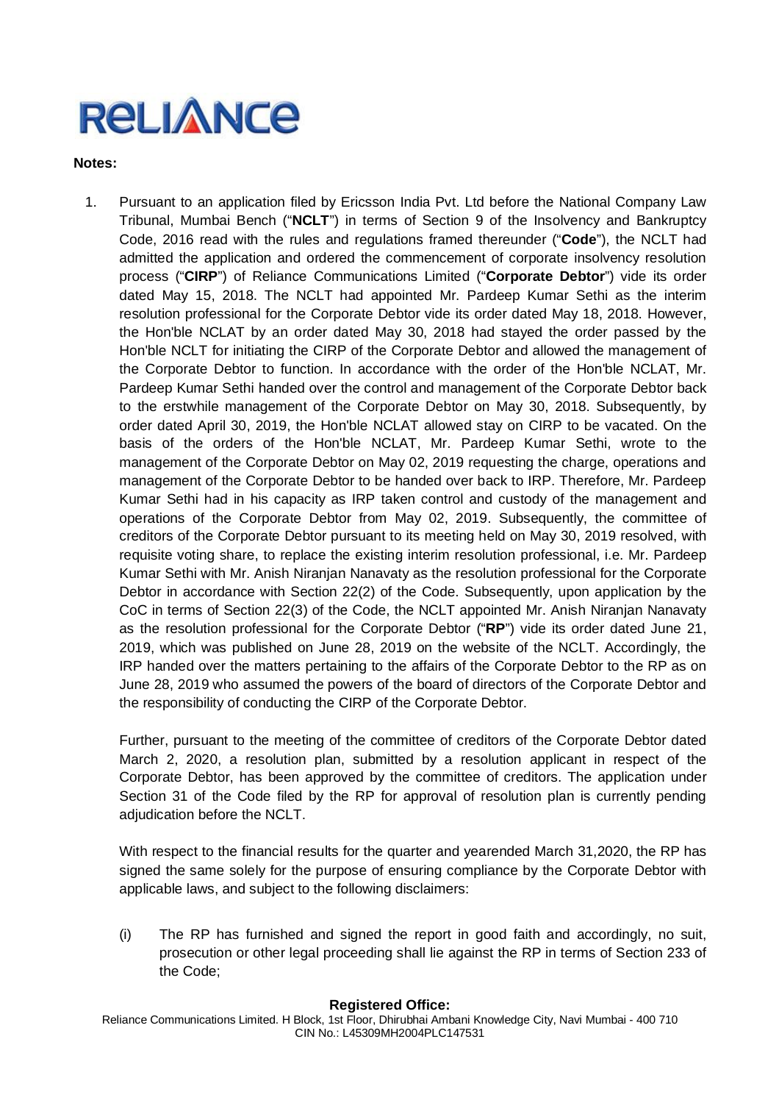### **Notes:**

1. Pursuant to an application filed by Ericsson India Pvt. Ltd before the National Company Law Tribunal, Mumbai Bench ("**NCLT**") in terms of Section 9 of the Insolvency and Bankruptcy Code, 2016 read with the rules and regulations framed thereunder ("**Code**"), the NCLT had admitted the application and ordered the commencement of corporate insolvency resolution process ("**CIRP**") of Reliance Communications Limited ("**Corporate Debtor**") vide its order dated May 15, 2018. The NCLT had appointed Mr. Pardeep Kumar Sethi as the interim resolution professional for the Corporate Debtor vide its order dated May 18, 2018. However, the Hon'ble NCLAT by an order dated May 30, 2018 had stayed the order passed by the Hon'ble NCLT for initiating the CIRP of the Corporate Debtor and allowed the management of the Corporate Debtor to function. In accordance with the order of the Hon'ble NCLAT, Mr. Pardeep Kumar Sethi handed over the control and management of the Corporate Debtor back to the erstwhile management of the Corporate Debtor on May 30, 2018. Subsequently, by order dated April 30, 2019, the Hon'ble NCLAT allowed stay on CIRP to be vacated. On the basis of the orders of the Hon'ble NCLAT, Mr. Pardeep Kumar Sethi, wrote to the management of the Corporate Debtor on May 02, 2019 requesting the charge, operations and management of the Corporate Debtor to be handed over back to IRP. Therefore, Mr. Pardeep Kumar Sethi had in his capacity as IRP taken control and custody of the management and operations of the Corporate Debtor from May 02, 2019. Subsequently, the committee of creditors of the Corporate Debtor pursuant to its meeting held on May 30, 2019 resolved, with requisite voting share, to replace the existing interim resolution professional, i.e. Mr. Pardeep Kumar Sethi with Mr. Anish Niranjan Nanavaty as the resolution professional for the Corporate Debtor in accordance with Section 22(2) of the Code. Subsequently, upon application by the CoC in terms of Section 22(3) of the Code, the NCLT appointed Mr. Anish Niranjan Nanavaty as the resolution professional for the Corporate Debtor ("**RP**") vide its order dated June 21, 2019, which was published on June 28, 2019 on the website of the NCLT. Accordingly, the IRP handed over the matters pertaining to the affairs of the Corporate Debtor to the RP as on June 28, 2019 who assumed the powers of the board of directors of the Corporate Debtor and the responsibility of conducting the CIRP of the Corporate Debtor.

Further, pursuant to the meeting of the committee of creditors of the Corporate Debtor dated March 2, 2020, a resolution plan, submitted by a resolution applicant in respect of the Corporate Debtor, has been approved by the committee of creditors. The application under Section 31 of the Code filed by the RP for approval of resolution plan is currently pending adjudication before the NCLT.

With respect to the financial results for the quarter and yearended March 31,2020, the RP has signed the same solely for the purpose of ensuring compliance by the Corporate Debtor with applicable laws, and subject to the following disclaimers:

(i) The RP has furnished and signed the report in good faith and accordingly, no suit, prosecution or other legal proceeding shall lie against the RP in terms of Section 233 of the Code;

### **Registered Office:**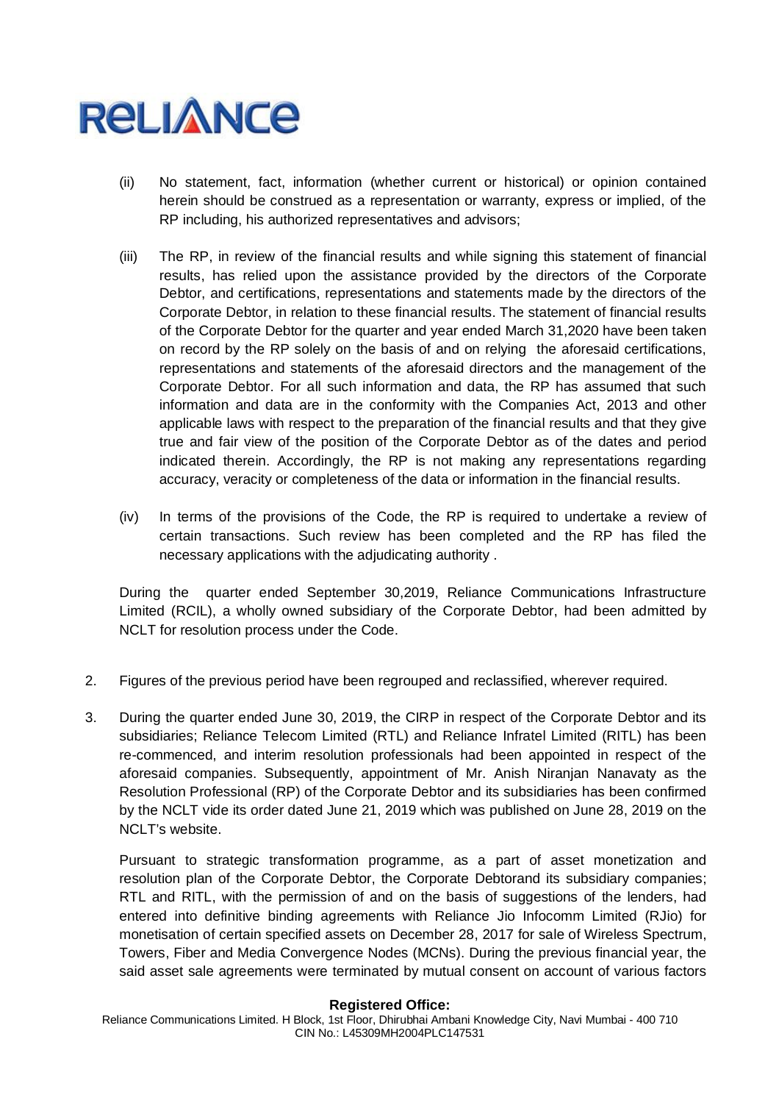

- (ii) No statement, fact, information (whether current or historical) or opinion contained herein should be construed as a representation or warranty, express or implied, of the RP including, his authorized representatives and advisors;
- (iii) The RP, in review of the financial results and while signing this statement of financial results, has relied upon the assistance provided by the directors of the Corporate Debtor, and certifications, representations and statements made by the directors of the Corporate Debtor, in relation to these financial results. The statement of financial results of the Corporate Debtor for the quarter and year ended March 31,2020 have been taken on record by the RP solely on the basis of and on relying the aforesaid certifications, representations and statements of the aforesaid directors and the management of the Corporate Debtor. For all such information and data, the RP has assumed that such information and data are in the conformity with the Companies Act, 2013 and other applicable laws with respect to the preparation of the financial results and that they give true and fair view of the position of the Corporate Debtor as of the dates and period indicated therein. Accordingly, the RP is not making any representations regarding accuracy, veracity or completeness of the data or information in the financial results.
- (iv) In terms of the provisions of the Code, the RP is required to undertake a review of certain transactions. Such review has been completed and the RP has filed the necessary applications with the adjudicating authority .

During the quarter ended September 30,2019, Reliance Communications Infrastructure Limited (RCIL), a wholly owned subsidiary of the Corporate Debtor, had been admitted by NCLT for resolution process under the Code.

- 2. Figures of the previous period have been regrouped and reclassified, wherever required.
- 3. During the quarter ended June 30, 2019, the CIRP in respect of the Corporate Debtor and its subsidiaries; Reliance Telecom Limited (RTL) and Reliance Infratel Limited (RITL) has been re-commenced, and interim resolution professionals had been appointed in respect of the aforesaid companies. Subsequently, appointment of Mr. Anish Niranjan Nanavaty as the Resolution Professional (RP) of the Corporate Debtor and its subsidiaries has been confirmed by the NCLT vide its order dated June 21, 2019 which was published on June 28, 2019 on the NCLT's website.

Pursuant to strategic transformation programme, as a part of asset monetization and resolution plan of the Corporate Debtor, the Corporate Debtorand its subsidiary companies; RTL and RITL, with the permission of and on the basis of suggestions of the lenders, had entered into definitive binding agreements with Reliance Jio Infocomm Limited (RJio) for monetisation of certain specified assets on December 28, 2017 for sale of Wireless Spectrum, Towers, Fiber and Media Convergence Nodes (MCNs). During the previous financial year, the said asset sale agreements were terminated by mutual consent on account of various factors

### **Registered Office:**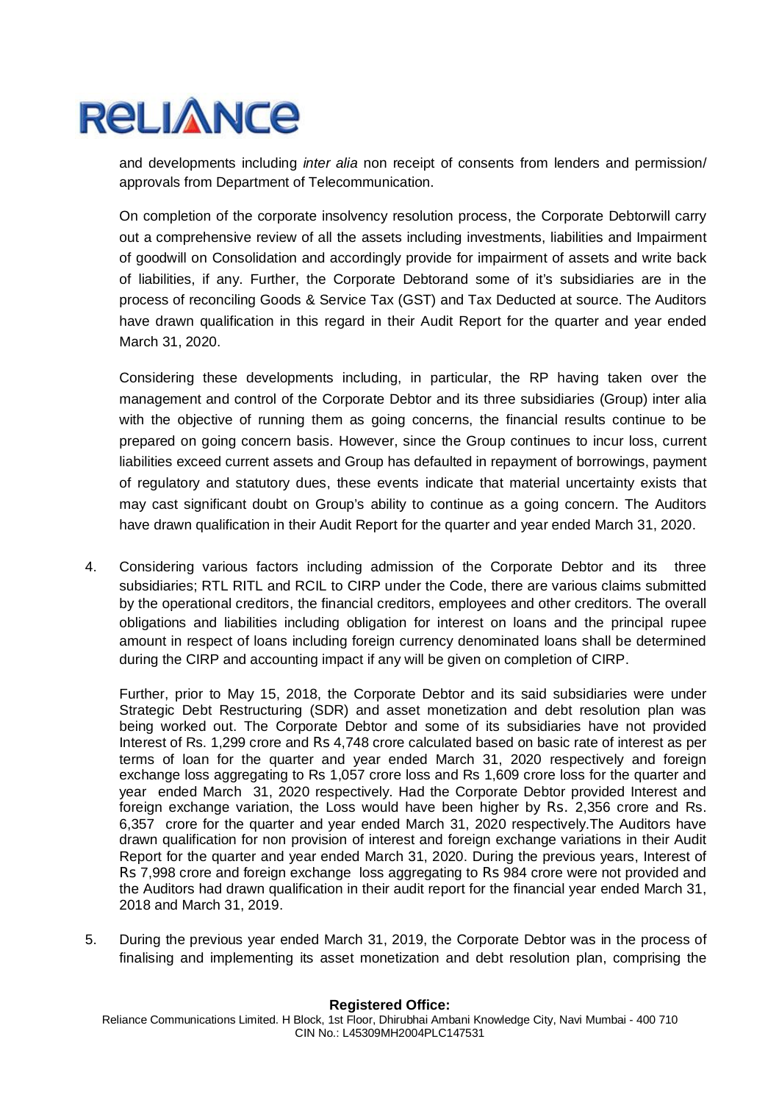

and developments including *inter alia* non receipt of consents from lenders and permission/ approvals from Department of Telecommunication.

On completion of the corporate insolvency resolution process, the Corporate Debtorwill carry out a comprehensive review of all the assets including investments, liabilities and Impairment of goodwill on Consolidation and accordingly provide for impairment of assets and write back of liabilities, if any. Further, the Corporate Debtorand some of it's subsidiaries are in the process of reconciling Goods & Service Tax (GST) and Tax Deducted at source. The Auditors have drawn qualification in this regard in their Audit Report for the quarter and year ended March 31, 2020.

Considering these developments including, in particular, the RP having taken over the management and control of the Corporate Debtor and its three subsidiaries (Group) inter alia with the objective of running them as going concerns, the financial results continue to be prepared on going concern basis. However, since the Group continues to incur loss, current liabilities exceed current assets and Group has defaulted in repayment of borrowings, payment of regulatory and statutory dues, these events indicate that material uncertainty exists that may cast significant doubt on Group's ability to continue as a going concern. The Auditors have drawn qualification in their Audit Report for the quarter and year ended March 31, 2020.

4. Considering various factors including admission of the Corporate Debtor and its three subsidiaries; RTL RITL and RCIL to CIRP under the Code, there are various claims submitted by the operational creditors, the financial creditors, employees and other creditors. The overall obligations and liabilities including obligation for interest on loans and the principal rupee amount in respect of loans including foreign currency denominated loans shall be determined during the CIRP and accounting impact if any will be given on completion of CIRP.

Further, prior to May 15, 2018, the Corporate Debtor and its said subsidiaries were under Strategic Debt Restructuring (SDR) and asset monetization and debt resolution plan was being worked out. The Corporate Debtor and some of its subsidiaries have not provided Interest of Rs. 1,299 crore and Rs 4,748 crore calculated based on basic rate of interest as per terms of loan for the quarter and year ended March 31, 2020 respectively and foreign exchange loss aggregating to Rs 1,057 crore loss and Rs 1,609 crore loss for the quarter and year ended March 31, 2020 respectively. Had the Corporate Debtor provided Interest and foreign exchange variation, the Loss would have been higher by Rs. 2,356 crore and Rs. 6,357 crore for the quarter and year ended March 31, 2020 respectively.The Auditors have drawn qualification for non provision of interest and foreign exchange variations in their Audit Report for the quarter and year ended March 31, 2020. During the previous years, Interest of Rs 7,998 crore and foreign exchange loss aggregating to Rs 984 crore were not provided and the Auditors had drawn qualification in their audit report for the financial year ended March 31, 2018 and March 31, 2019.

5. During the previous year ended March 31, 2019, the Corporate Debtor was in the process of finalising and implementing its asset monetization and debt resolution plan, comprising the

### **Registered Office:**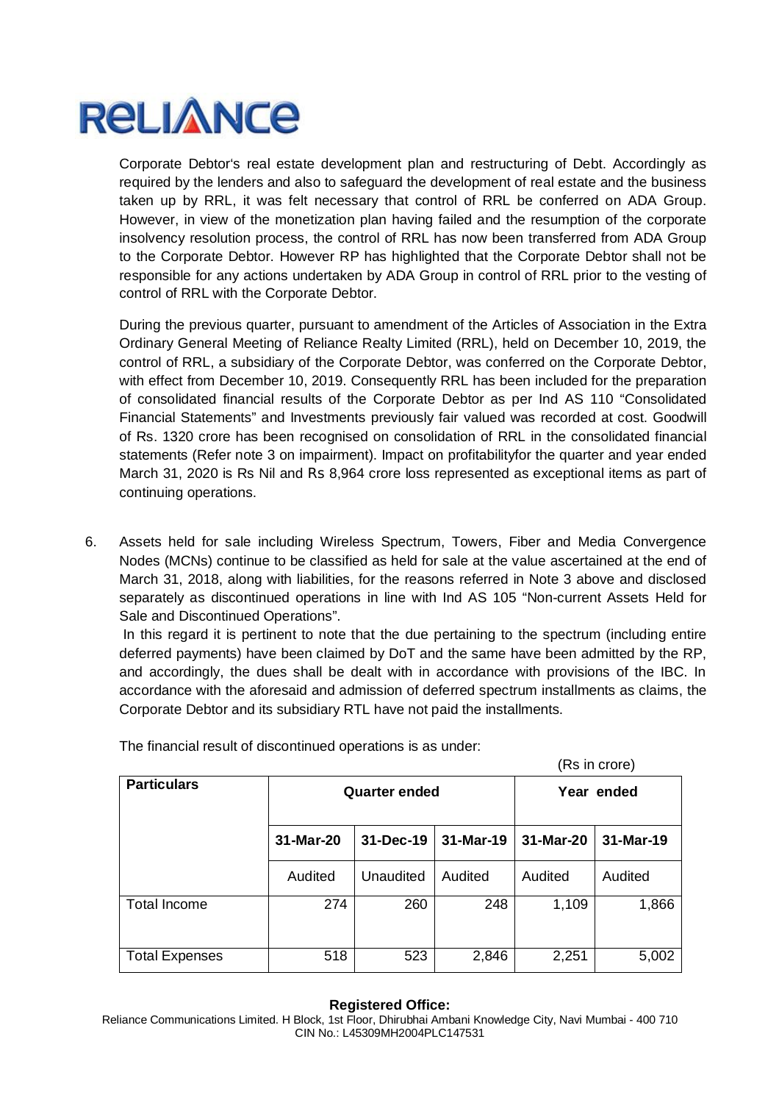

Corporate Debtor's real estate development plan and restructuring of Debt. Accordingly as required by the lenders and also to safeguard the development of real estate and the business taken up by RRL, it was felt necessary that control of RRL be conferred on ADA Group. However, in view of the monetization plan having failed and the resumption of the corporate insolvency resolution process, the control of RRL has now been transferred from ADA Group to the Corporate Debtor. However RP has highlighted that the Corporate Debtor shall not be responsible for any actions undertaken by ADA Group in control of RRL prior to the vesting of control of RRL with the Corporate Debtor.

During the previous quarter, pursuant to amendment of the Articles of Association in the Extra Ordinary General Meeting of Reliance Realty Limited (RRL), held on December 10, 2019, the control of RRL, a subsidiary of the Corporate Debtor, was conferred on the Corporate Debtor, with effect from December 10, 2019. Consequently RRL has been included for the preparation of consolidated financial results of the Corporate Debtor as per Ind AS 110 "Consolidated Financial Statements" and Investments previously fair valued was recorded at cost. Goodwill of Rs. 1320 crore has been recognised on consolidation of RRL in the consolidated financial statements (Refer note 3 on impairment). Impact on profitabilityfor the quarter and year ended March 31, 2020 is Rs Nil and Rs 8,964 crore loss represented as exceptional items as part of continuing operations.

6. Assets held for sale including Wireless Spectrum, Towers, Fiber and Media Convergence Nodes (MCNs) continue to be classified as held for sale at the value ascertained at the end of March 31, 2018, along with liabilities, for the reasons referred in Note 3 above and disclosed separately as discontinued operations in line with Ind AS 105 "Non-current Assets Held for Sale and Discontinued Operations".

In this regard it is pertinent to note that the due pertaining to the spectrum (including entire deferred payments) have been claimed by DoT and the same have been admitted by the RP, and accordingly, the dues shall be dealt with in accordance with provisions of the IBC. In accordance with the aforesaid and admission of deferred spectrum installments as claims, the Corporate Debtor and its subsidiary RTL have not paid the installments.

| (Rs in crore)         |                      |           |           |           |            |
|-----------------------|----------------------|-----------|-----------|-----------|------------|
| <b>Particulars</b>    | <b>Quarter ended</b> |           |           |           | Year ended |
|                       | 31-Mar-20            | 31-Dec-19 | 31-Mar-19 | 31-Mar-20 | 31-Mar-19  |
|                       | Audited              | Unaudited | Audited   | Audited   | Audited    |
| <b>Total Income</b>   | 274                  | 260       | 248       | 1,109     | 1,866      |
| <b>Total Expenses</b> | 518                  | 523       | 2,846     | 2,251     | 5,002      |

The financial result of discontinued operations is as under:

### **Registered Office:**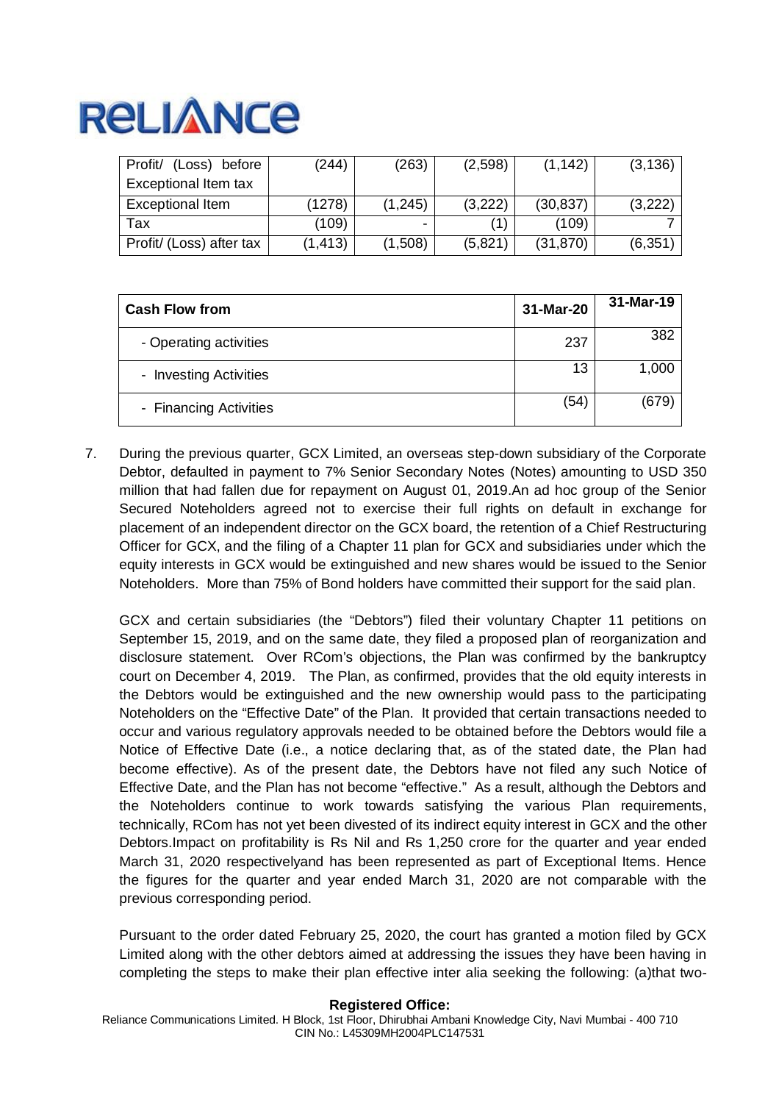| (Loss) before<br>Profit/ | (244)    | (263)          | (2,598) | (1, 142)  | (3, 136) |
|--------------------------|----------|----------------|---------|-----------|----------|
| Exceptional Item tax     |          |                |         |           |          |
| Exceptional Item         | (1278)   | (1, 245)       | (3,222) | (30, 837) | (3,222)  |
| Tax                      | (109)    | $\blacksquare$ |         | (109)     |          |
| Profit/ (Loss) after tax | (1, 413) | (1,508)        | (5,821) | (31, 870) | (6, 351) |

| <b>Cash Flow from</b>  | 31-Mar-20 | 31-Mar-19 |
|------------------------|-----------|-----------|
| - Operating activities | 237       | 382       |
| - Investing Activities | 13        | 1,000     |
| - Financing Activities | (54)      | (679)     |

7. During the previous quarter, GCX Limited, an overseas step-down subsidiary of the Corporate Debtor, defaulted in payment to 7% Senior Secondary Notes (Notes) amounting to USD 350 million that had fallen due for repayment on August 01, 2019.An ad hoc group of the Senior Secured Noteholders agreed not to exercise their full rights on default in exchange for placement of an independent director on the GCX board, the retention of a Chief Restructuring Officer for GCX, and the filing of a Chapter 11 plan for GCX and subsidiaries under which the equity interests in GCX would be extinguished and new shares would be issued to the Senior Noteholders. More than 75% of Bond holders have committed their support for the said plan.

GCX and certain subsidiaries (the "Debtors") filed their voluntary Chapter 11 petitions on September 15, 2019, and on the same date, they filed a proposed plan of reorganization and disclosure statement. Over RCom's objections, the Plan was confirmed by the bankruptcy court on December 4, 2019. The Plan, as confirmed, provides that the old equity interests in the Debtors would be extinguished and the new ownership would pass to the participating Noteholders on the "Effective Date" of the Plan. It provided that certain transactions needed to occur and various regulatory approvals needed to be obtained before the Debtors would file a Notice of Effective Date (i.e., a notice declaring that, as of the stated date, the Plan had become effective). As of the present date, the Debtors have not filed any such Notice of Effective Date, and the Plan has not become "effective." As a result, although the Debtors and the Noteholders continue to work towards satisfying the various Plan requirements, technically, RCom has not yet been divested of its indirect equity interest in GCX and the other Debtors.Impact on profitability is Rs Nil and Rs 1,250 crore for the quarter and year ended March 31, 2020 respectivelyand has been represented as part of Exceptional Items. Hence the figures for the quarter and year ended March 31, 2020 are not comparable with the previous corresponding period.

Pursuant to the order dated February 25, 2020, the court has granted a motion filed by GCX Limited along with the other debtors aimed at addressing the issues they have been having in completing the steps to make their plan effective inter alia seeking the following: (a)that two-

### **Registered Office:**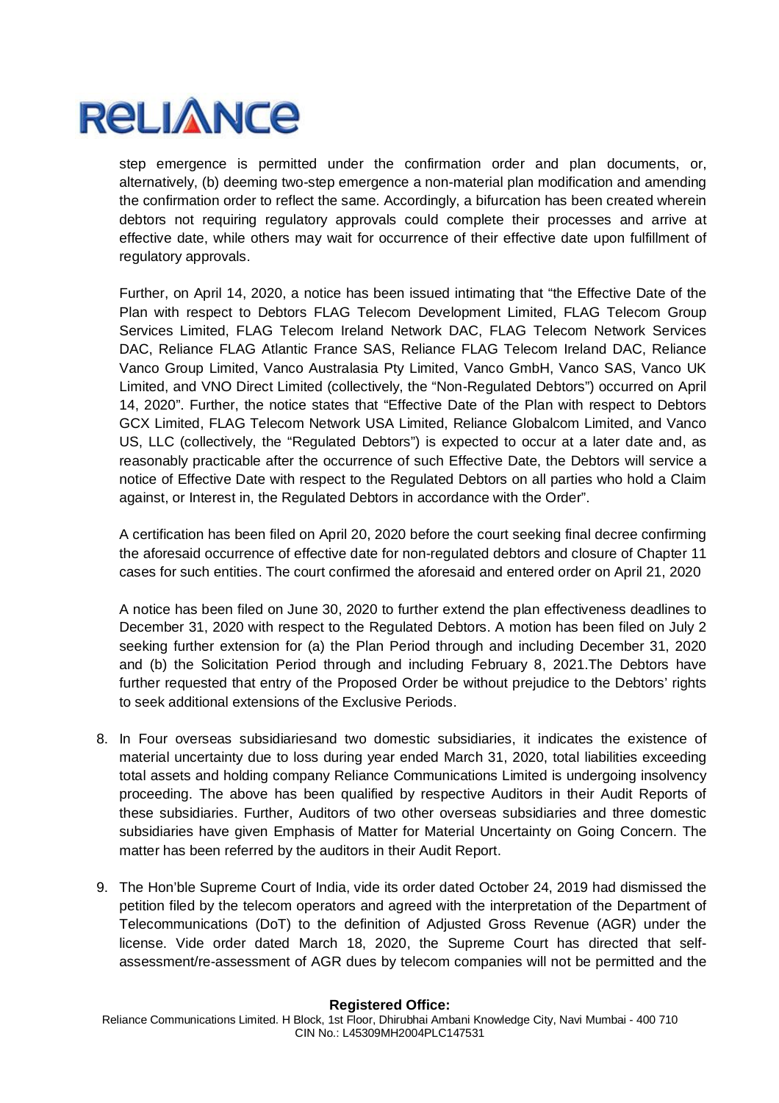

step emergence is permitted under the confirmation order and plan documents, or, alternatively, (b) deeming two-step emergence a non-material plan modification and amending the confirmation order to reflect the same. Accordingly, a bifurcation has been created wherein debtors not requiring regulatory approvals could complete their processes and arrive at effective date, while others may wait for occurrence of their effective date upon fulfillment of regulatory approvals.

Further, on April 14, 2020, a notice has been issued intimating that "the Effective Date of the Plan with respect to Debtors FLAG Telecom Development Limited, FLAG Telecom Group Services Limited, FLAG Telecom Ireland Network DAC, FLAG Telecom Network Services DAC, Reliance FLAG Atlantic France SAS, Reliance FLAG Telecom Ireland DAC, Reliance Vanco Group Limited, Vanco Australasia Pty Limited, Vanco GmbH, Vanco SAS, Vanco UK Limited, and VNO Direct Limited (collectively, the "Non-Regulated Debtors") occurred on April 14, 2020". Further, the notice states that "Effective Date of the Plan with respect to Debtors GCX Limited, FLAG Telecom Network USA Limited, Reliance Globalcom Limited, and Vanco US, LLC (collectively, the "Regulated Debtors") is expected to occur at a later date and, as reasonably practicable after the occurrence of such Effective Date, the Debtors will service a notice of Effective Date with respect to the Regulated Debtors on all parties who hold a Claim against, or Interest in, the Regulated Debtors in accordance with the Order".

A certification has been filed on April 20, 2020 before the court seeking final decree confirming the aforesaid occurrence of effective date for non-regulated debtors and closure of Chapter 11 cases for such entities. The court confirmed the aforesaid and entered order on April 21, 2020

A notice has been filed on June 30, 2020 to further extend the plan effectiveness deadlines to December 31, 2020 with respect to the Regulated Debtors. A motion has been filed on July 2 seeking further extension for (a) the Plan Period through and including December 31, 2020 and (b) the Solicitation Period through and including February 8, 2021.The Debtors have further requested that entry of the Proposed Order be without prejudice to the Debtors' rights to seek additional extensions of the Exclusive Periods.

- 8. In Four overseas subsidiariesand two domestic subsidiaries, it indicates the existence of material uncertainty due to loss during year ended March 31, 2020, total liabilities exceeding total assets and holding company Reliance Communications Limited is undergoing insolvency proceeding. The above has been qualified by respective Auditors in their Audit Reports of these subsidiaries. Further, Auditors of two other overseas subsidiaries and three domestic subsidiaries have given Emphasis of Matter for Material Uncertainty on Going Concern. The matter has been referred by the auditors in their Audit Report.
- 9. The Hon'ble Supreme Court of India, vide its order dated October 24, 2019 had dismissed the petition filed by the telecom operators and agreed with the interpretation of the Department of Telecommunications (DoT) to the definition of Adjusted Gross Revenue (AGR) under the license. Vide order dated March 18, 2020, the Supreme Court has directed that selfassessment/re-assessment of AGR dues by telecom companies will not be permitted and the

### **Registered Office:**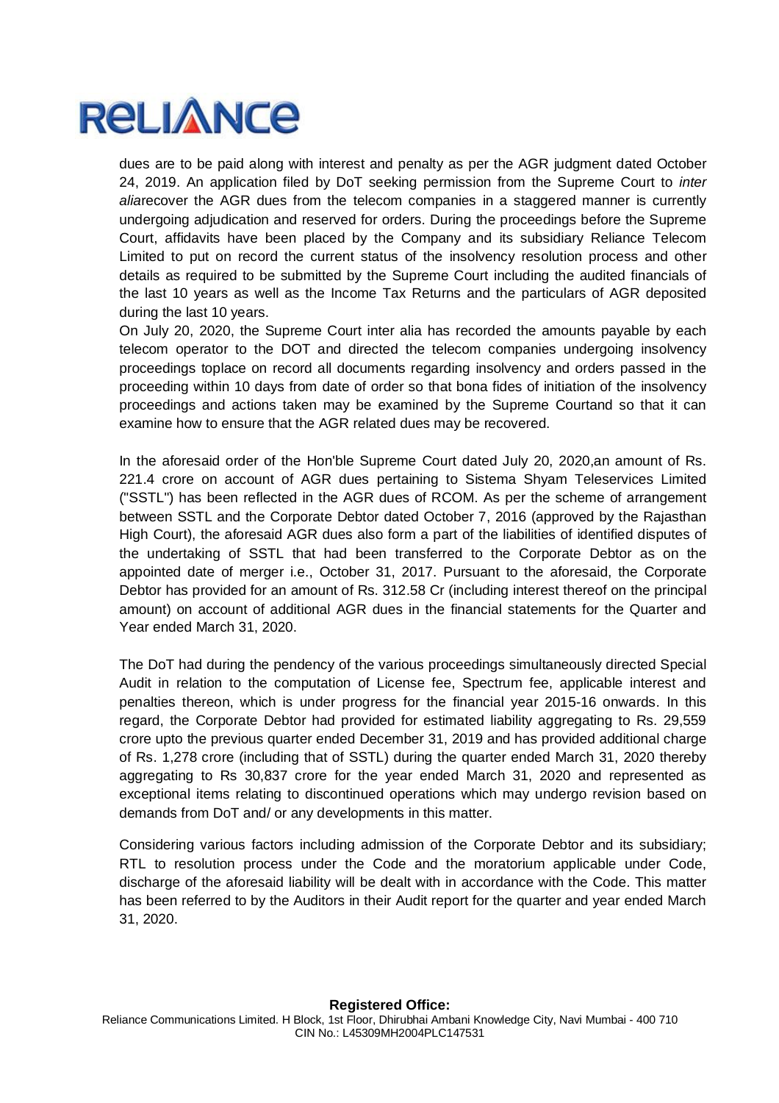

dues are to be paid along with interest and penalty as per the AGR judgment dated October 24, 2019. An application filed by DoT seeking permission from the Supreme Court to *inter alia*recover the AGR dues from the telecom companies in a staggered manner is currently undergoing adjudication and reserved for orders. During the proceedings before the Supreme Court, affidavits have been placed by the Company and its subsidiary Reliance Telecom Limited to put on record the current status of the insolvency resolution process and other details as required to be submitted by the Supreme Court including the audited financials of the last 10 years as well as the Income Tax Returns and the particulars of AGR deposited during the last 10 years.

On July 20, 2020, the Supreme Court inter alia has recorded the amounts payable by each telecom operator to the DOT and directed the telecom companies undergoing insolvency proceedings toplace on record all documents regarding insolvency and orders passed in the proceeding within 10 days from date of order so that bona fides of initiation of the insolvency proceedings and actions taken may be examined by the Supreme Courtand so that it can examine how to ensure that the AGR related dues may be recovered.

In the aforesaid order of the Hon'ble Supreme Court dated July 20, 2020,an amount of Rs. 221.4 crore on account of AGR dues pertaining to Sistema Shyam Teleservices Limited ("SSTL") has been reflected in the AGR dues of RCOM. As per the scheme of arrangement between SSTL and the Corporate Debtor dated October 7, 2016 (approved by the Rajasthan High Court), the aforesaid AGR dues also form a part of the liabilities of identified disputes of the undertaking of SSTL that had been transferred to the Corporate Debtor as on the appointed date of merger i.e., October 31, 2017. Pursuant to the aforesaid, the Corporate Debtor has provided for an amount of Rs. 312.58 Cr (including interest thereof on the principal amount) on account of additional AGR dues in the financial statements for the Quarter and Year ended March 31, 2020.

The DoT had during the pendency of the various proceedings simultaneously directed Special Audit in relation to the computation of License fee, Spectrum fee, applicable interest and penalties thereon, which is under progress for the financial year 2015-16 onwards. In this regard, the Corporate Debtor had provided for estimated liability aggregating to Rs. 29,559 crore upto the previous quarter ended December 31, 2019 and has provided additional charge of Rs. 1,278 crore (including that of SSTL) during the quarter ended March 31, 2020 thereby aggregating to Rs 30,837 crore for the year ended March 31, 2020 and represented as exceptional items relating to discontinued operations which may undergo revision based on demands from DoT and/ or any developments in this matter.

Considering various factors including admission of the Corporate Debtor and its subsidiary; RTL to resolution process under the Code and the moratorium applicable under Code, discharge of the aforesaid liability will be dealt with in accordance with the Code. This matter has been referred to by the Auditors in their Audit report for the quarter and year ended March 31, 2020.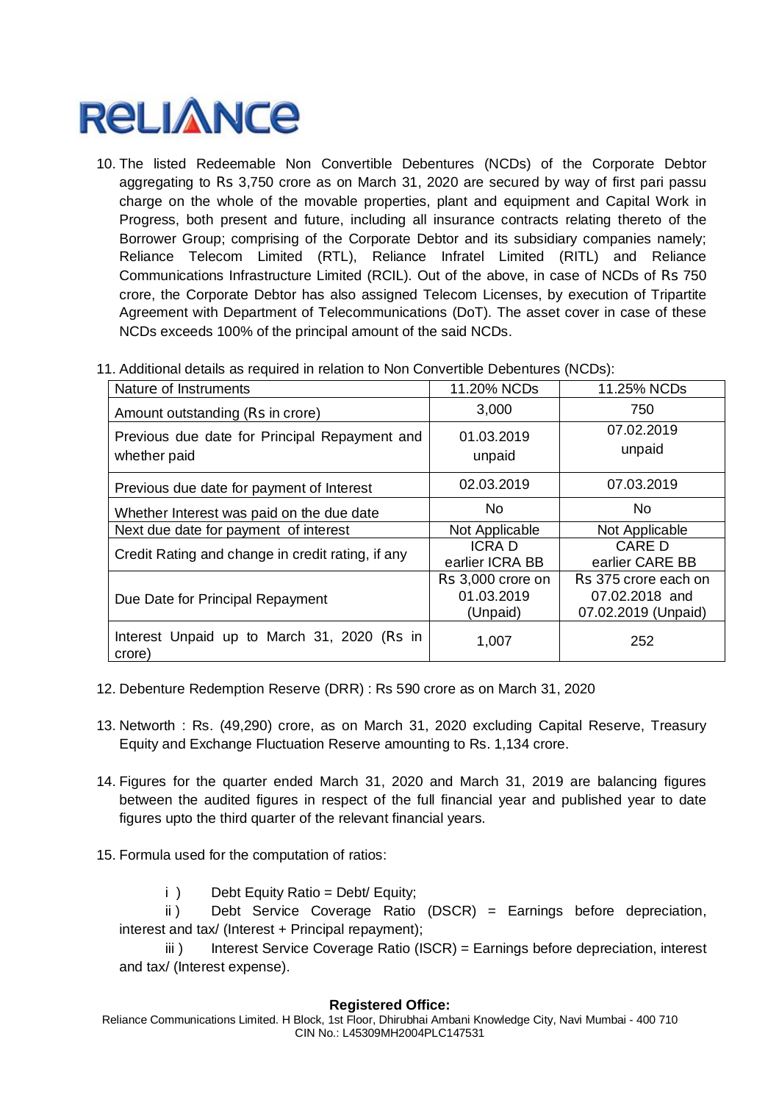10. The listed Redeemable Non Convertible Debentures (NCDs) of the Corporate Debtor aggregating to Rs 3,750 crore as on March 31, 2020 are secured by way of first pari passu charge on the whole of the movable properties, plant and equipment and Capital Work in Progress, both present and future, including all insurance contracts relating thereto of the Borrower Group; comprising of the Corporate Debtor and its subsidiary companies namely; Reliance Telecom Limited (RTL), Reliance Infratel Limited (RITL) and Reliance Communications Infrastructure Limited (RCIL). Out of the above, in case of NCDs of Rs 750 crore, the Corporate Debtor has also assigned Telecom Licenses, by execution of Tripartite Agreement with Department of Telecommunications (DoT). The asset cover in case of these NCDs exceeds 100% of the principal amount of the said NCDs.

| Nature of Instruments                                         | 11.20% NCDs                                 | 11.25% NCDs                                                   |
|---------------------------------------------------------------|---------------------------------------------|---------------------------------------------------------------|
| Amount outstanding (Rs in crore)                              | 3,000                                       | 750                                                           |
| Previous due date for Principal Repayment and<br>whether paid | 01.03.2019<br>unpaid                        | 07.02.2019<br>unpaid                                          |
| Previous due date for payment of Interest                     | 02.03.2019                                  | 07.03.2019                                                    |
| Whether Interest was paid on the due date                     | No.                                         | No.                                                           |
| Next due date for payment of interest                         | Not Applicable                              | Not Applicable                                                |
| Credit Rating and change in credit rating, if any             | <b>ICRAD</b><br>earlier ICRA BB             | CARE D<br>earlier CARE BB                                     |
| Due Date for Principal Repayment                              | Rs 3,000 crore on<br>01.03.2019<br>(Unpaid) | Rs 375 crore each on<br>07.02.2018 and<br>07.02.2019 (Unpaid) |
| Interest Unpaid up to March 31, 2020 (Rs in<br>crore)         | 1,007                                       | 252                                                           |

11. Additional details as required in relation to Non Convertible Debentures (NCDs):

- 12. Debenture Redemption Reserve (DRR) : Rs 590 crore as on March 31, 2020
- 13. Networth : Rs. (49,290) crore, as on March 31, 2020 excluding Capital Reserve, Treasury Equity and Exchange Fluctuation Reserve amounting to Rs. 1,134 crore.
- 14. Figures for the quarter ended March 31, 2020 and March 31, 2019 are balancing figures between the audited figures in respect of the full financial year and published year to date figures upto the third quarter of the relevant financial years.
- 15. Formula used for the computation of ratios:
	- i ) Debt Equity Ratio = Debt/ Equity;

ii ) Debt Service Coverage Ratio (DSCR) = Earnings before depreciation, interest and tax/ (Interest + Principal repayment);

iii) Interest Service Coverage Ratio (ISCR) = Earnings before depreciation, interest and tax/ (Interest expense).

### **Registered Office:**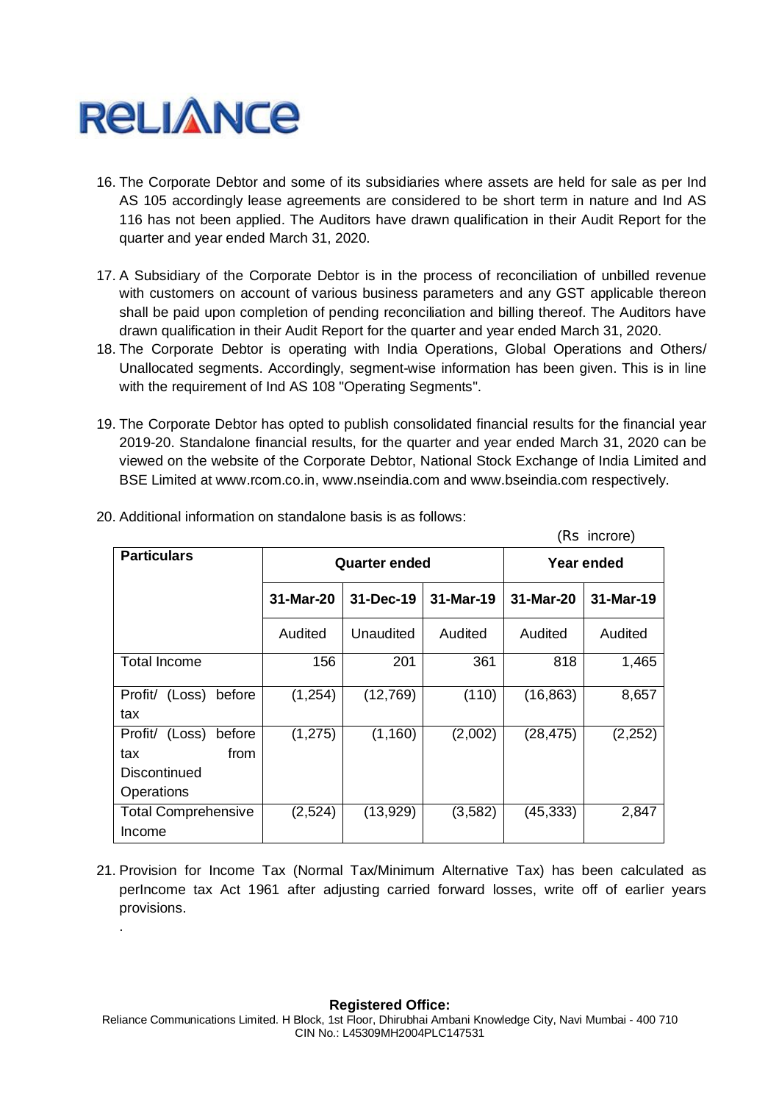

.

- 16. The Corporate Debtor and some of its subsidiaries where assets are held for sale as per Ind AS 105 accordingly lease agreements are considered to be short term in nature and Ind AS 116 has not been applied. The Auditors have drawn qualification in their Audit Report for the quarter and year ended March 31, 2020.
- 17. A Subsidiary of the Corporate Debtor is in the process of reconciliation of unbilled revenue with customers on account of various business parameters and any GST applicable thereon shall be paid upon completion of pending reconciliation and billing thereof. The Auditors have drawn qualification in their Audit Report for the quarter and year ended March 31, 2020.
- 18. The Corporate Debtor is operating with India Operations, Global Operations and Others/ Unallocated segments. Accordingly, segment-wise information has been given. This is in line with the requirement of Ind AS 108 "Operating Segments".
- 19. The Corporate Debtor has opted to publish consolidated financial results for the financial year 2019-20. Standalone financial results, for the quarter and year ended March 31, 2020 can be viewed on the website of the Corporate Debtor, National Stock Exchange of India Limited and BSE Limited at www.rcom.co.in, www.nseindia.com and www.bseindia.com respectively.

 $(Dc \text{ in } \text{error})$ 

| $(1)$ $\frac{1}{2}$                                                |           |                      |           |            |           |  |
|--------------------------------------------------------------------|-----------|----------------------|-----------|------------|-----------|--|
| <b>Particulars</b>                                                 |           | <b>Quarter ended</b> |           | Year ended |           |  |
|                                                                    | 31-Mar-20 | 31-Dec-19            | 31-Mar-19 | 31-Mar-20  | 31-Mar-19 |  |
|                                                                    | Audited   | Unaudited            | Audited   | Audited    | Audited   |  |
| <b>Total Income</b>                                                | 156       | 201                  | 361       | 818        | 1,465     |  |
| Profit/<br>(Loss)<br>before<br>tax                                 | (1,254)   | (12,769)             | (110)     | (16, 863)  | 8,657     |  |
| Profit/ (Loss) before<br>from<br>tax<br>Discontinued<br>Operations | (1, 275)  | (1,160)              | (2,002)   | (28, 475)  | (2,252)   |  |
| <b>Total Comprehensive</b><br>Income                               | (2,524)   | (13,929)             | (3,582)   | (45, 333)  | 2,847     |  |

20. Additional information on standalone basis is as follows:

21. Provision for Income Tax (Normal Tax/Minimum Alternative Tax) has been calculated as perIncome tax Act 1961 after adjusting carried forward losses, write off of earlier years provisions.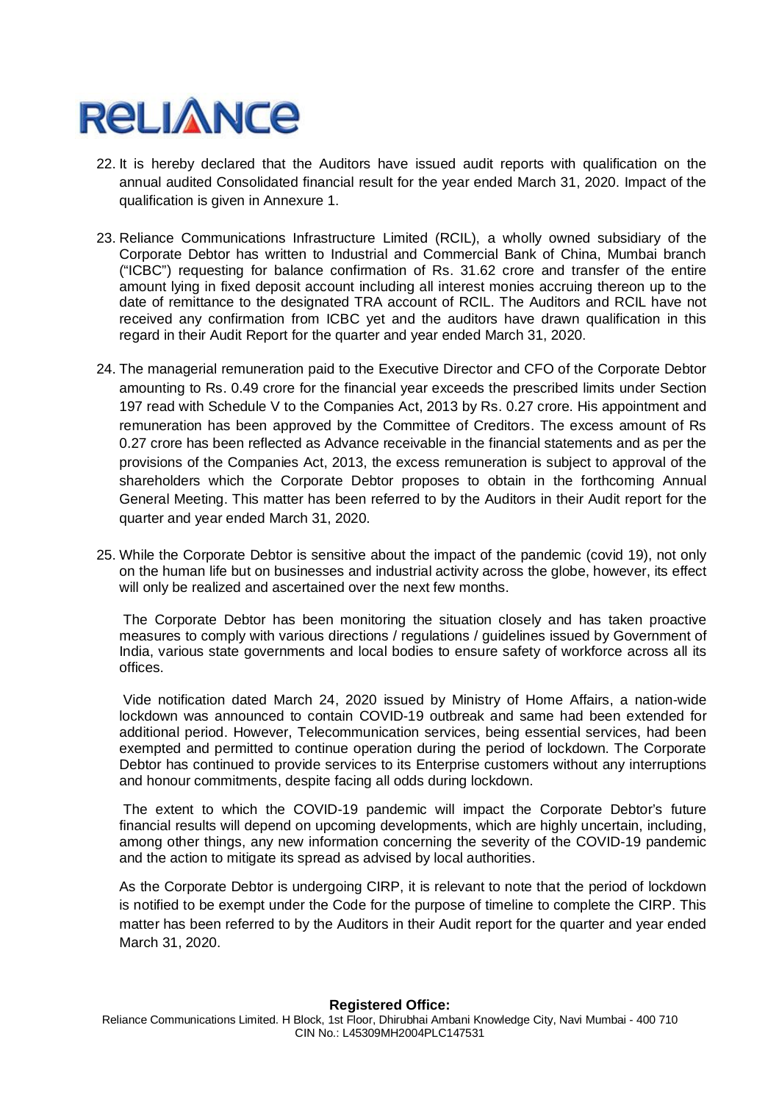- 22. It is hereby declared that the Auditors have issued audit reports with qualification on the annual audited Consolidated financial result for the year ended March 31, 2020. Impact of the qualification is given in Annexure 1.
- 23. Reliance Communications Infrastructure Limited (RCIL), a wholly owned subsidiary of the Corporate Debtor has written to Industrial and Commercial Bank of China, Mumbai branch ("ICBC") requesting for balance confirmation of Rs. 31.62 crore and transfer of the entire amount lying in fixed deposit account including all interest monies accruing thereon up to the date of remittance to the designated TRA account of RCIL. The Auditors and RCIL have not received any confirmation from ICBC yet and the auditors have drawn qualification in this regard in their Audit Report for the quarter and year ended March 31, 2020.
- 24. The managerial remuneration paid to the Executive Director and CFO of the Corporate Debtor amounting to Rs. 0.49 crore for the financial year exceeds the prescribed limits under Section 197 read with Schedule V to the Companies Act, 2013 by Rs. 0.27 crore. His appointment and remuneration has been approved by the Committee of Creditors. The excess amount of Rs 0.27 crore has been reflected as Advance receivable in the financial statements and as per the provisions of the Companies Act, 2013, the excess remuneration is subject to approval of the shareholders which the Corporate Debtor proposes to obtain in the forthcoming Annual General Meeting. This matter has been referred to by the Auditors in their Audit report for the quarter and year ended March 31, 2020.
- 25. While the Corporate Debtor is sensitive about the impact of the pandemic (covid 19), not only on the human life but on businesses and industrial activity across the globe, however, its effect will only be realized and ascertained over the next few months.

The Corporate Debtor has been monitoring the situation closely and has taken proactive measures to comply with various directions / regulations / guidelines issued by Government of India, various state governments and local bodies to ensure safety of workforce across all its offices.

Vide notification dated March 24, 2020 issued by Ministry of Home Affairs, a nation-wide lockdown was announced to contain COVID-19 outbreak and same had been extended for additional period. However, Telecommunication services, being essential services, had been exempted and permitted to continue operation during the period of lockdown. The Corporate Debtor has continued to provide services to its Enterprise customers without any interruptions and honour commitments, despite facing all odds during lockdown.

The extent to which the COVID-19 pandemic will impact the Corporate Debtor's future financial results will depend on upcoming developments, which are highly uncertain, including, among other things, any new information concerning the severity of the COVID-19 pandemic and the action to mitigate its spread as advised by local authorities.

As the Corporate Debtor is undergoing CIRP, it is relevant to note that the period of lockdown is notified to be exempt under the Code for the purpose of timeline to complete the CIRP. This matter has been referred to by the Auditors in their Audit report for the quarter and year ended March 31, 2020.

### **Registered Office:**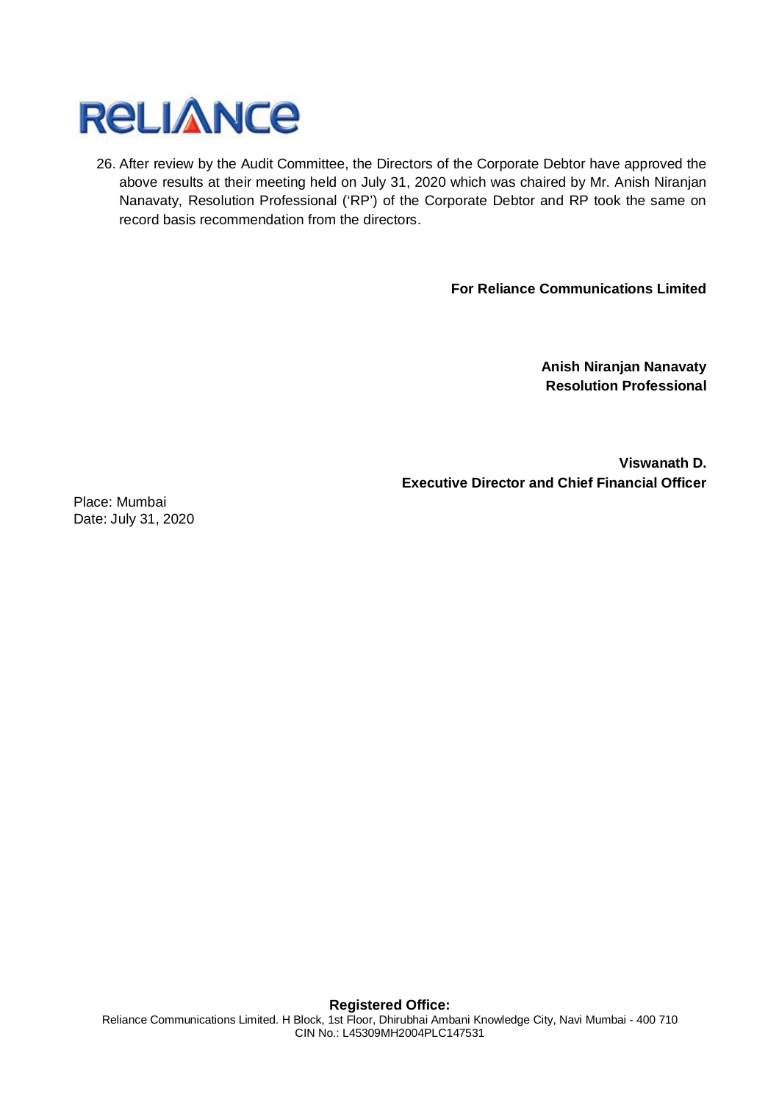

26. After review by the Audit Committee, the Directors of the Corporate Debtor have approved the above results at their meeting held on July 31, 2020 which was chaired by Mr. Anish Niranjan Nanavaty, Resolution Professional ('RP') of the Corporate Debtor and RP took the same on record basis recommendation from the directors.

**For Reliance Communications Limited**

**Anish Niranjan Nanavaty Resolution Professional**

**Viswanath D. Executive Director and Chief Financial Officer**

Place: Mumbai Date: July 31, 2020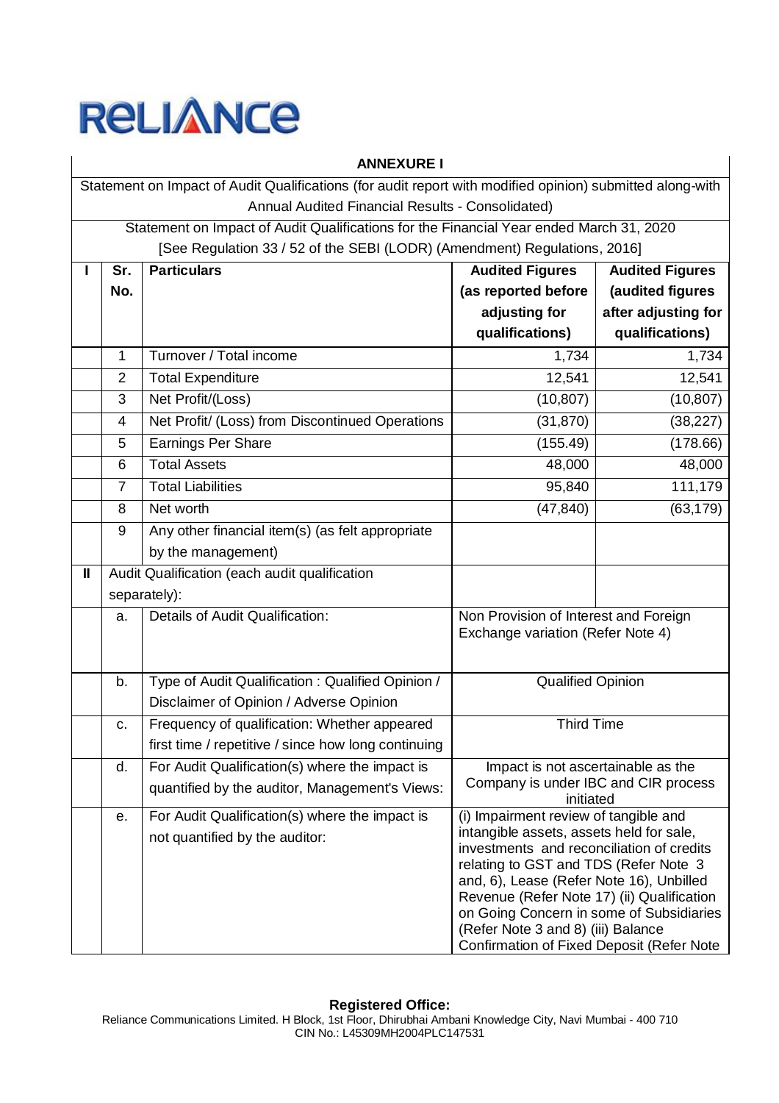

|   | <b>ANNEXURE I</b>                                                                                         |                                                                                         |                                                                                    |                        |  |  |  |
|---|-----------------------------------------------------------------------------------------------------------|-----------------------------------------------------------------------------------------|------------------------------------------------------------------------------------|------------------------|--|--|--|
|   | Statement on Impact of Audit Qualifications (for audit report with modified opinion) submitted along-with |                                                                                         |                                                                                    |                        |  |  |  |
|   |                                                                                                           | Annual Audited Financial Results - Consolidated)                                        |                                                                                    |                        |  |  |  |
|   |                                                                                                           | Statement on Impact of Audit Qualifications for the Financial Year ended March 31, 2020 |                                                                                    |                        |  |  |  |
|   |                                                                                                           | [See Regulation 33 / 52 of the SEBI (LODR) (Amendment) Regulations, 2016]               |                                                                                    |                        |  |  |  |
|   | Sr.                                                                                                       | <b>Particulars</b>                                                                      | <b>Audited Figures</b>                                                             | <b>Audited Figures</b> |  |  |  |
|   | No.                                                                                                       |                                                                                         | (as reported before                                                                | (audited figures       |  |  |  |
|   |                                                                                                           |                                                                                         | adjusting for                                                                      | after adjusting for    |  |  |  |
|   |                                                                                                           |                                                                                         | qualifications)                                                                    | qualifications)        |  |  |  |
|   | 1                                                                                                         | Turnover / Total income                                                                 | 1,734                                                                              | 1,734                  |  |  |  |
|   | $\overline{2}$                                                                                            | <b>Total Expenditure</b>                                                                | 12,541                                                                             | 12,541                 |  |  |  |
|   | 3                                                                                                         | Net Profit/(Loss)                                                                       | (10, 807)                                                                          | (10, 807)              |  |  |  |
|   | $\overline{4}$                                                                                            | Net Profit/ (Loss) from Discontinued Operations                                         | (31, 870)                                                                          | (38, 227)              |  |  |  |
|   | 5                                                                                                         | <b>Earnings Per Share</b>                                                               | (155.49)                                                                           | (178.66)               |  |  |  |
|   | 6                                                                                                         | <b>Total Assets</b>                                                                     | 48,000                                                                             | 48,000                 |  |  |  |
|   | 7                                                                                                         | <b>Total Liabilities</b>                                                                | 95,840                                                                             | 111,179                |  |  |  |
|   | 8                                                                                                         | Net worth                                                                               | (47, 840)                                                                          | (63, 179)              |  |  |  |
|   | 9                                                                                                         | Any other financial item(s) (as felt appropriate                                        |                                                                                    |                        |  |  |  |
|   |                                                                                                           | by the management)                                                                      |                                                                                    |                        |  |  |  |
| Ш |                                                                                                           | Audit Qualification (each audit qualification                                           |                                                                                    |                        |  |  |  |
|   |                                                                                                           | separately):                                                                            |                                                                                    |                        |  |  |  |
|   | a.                                                                                                        | Details of Audit Qualification:                                                         | Non Provision of Interest and Foreign                                              |                        |  |  |  |
|   |                                                                                                           |                                                                                         | Exchange variation (Refer Note 4)                                                  |                        |  |  |  |
|   |                                                                                                           |                                                                                         |                                                                                    |                        |  |  |  |
|   | b.                                                                                                        | Type of Audit Qualification: Qualified Opinion /                                        | Qualified Opinion                                                                  |                        |  |  |  |
|   |                                                                                                           | Disclaimer of Opinion / Adverse Opinion                                                 |                                                                                    |                        |  |  |  |
|   | c.                                                                                                        | Frequency of qualification: Whether appeared                                            | <b>Third Time</b>                                                                  |                        |  |  |  |
|   |                                                                                                           | first time / repetitive / since how long continuing                                     |                                                                                    |                        |  |  |  |
|   | d.                                                                                                        | For Audit Qualification(s) where the impact is                                          | Impact is not ascertainable as the                                                 |                        |  |  |  |
|   |                                                                                                           | quantified by the auditor, Management's Views:                                          | Company is under IBC and CIR process<br>initiated                                  |                        |  |  |  |
|   | е.                                                                                                        | For Audit Qualification(s) where the impact is                                          | (i) Impairment review of tangible and                                              |                        |  |  |  |
|   |                                                                                                           | not quantified by the auditor:                                                          | intangible assets, assets held for sale,                                           |                        |  |  |  |
|   |                                                                                                           |                                                                                         | investments and reconciliation of credits<br>relating to GST and TDS (Refer Note 3 |                        |  |  |  |
|   |                                                                                                           |                                                                                         | and, 6), Lease (Refer Note 16), Unbilled                                           |                        |  |  |  |
|   |                                                                                                           |                                                                                         | Revenue (Refer Note 17) (ii) Qualification                                         |                        |  |  |  |
|   |                                                                                                           |                                                                                         | on Going Concern in some of Subsidiaries                                           |                        |  |  |  |
|   |                                                                                                           |                                                                                         | (Refer Note 3 and 8) (iii) Balance<br>Confirmation of Fixed Deposit (Refer Note    |                        |  |  |  |
|   |                                                                                                           |                                                                                         |                                                                                    |                        |  |  |  |